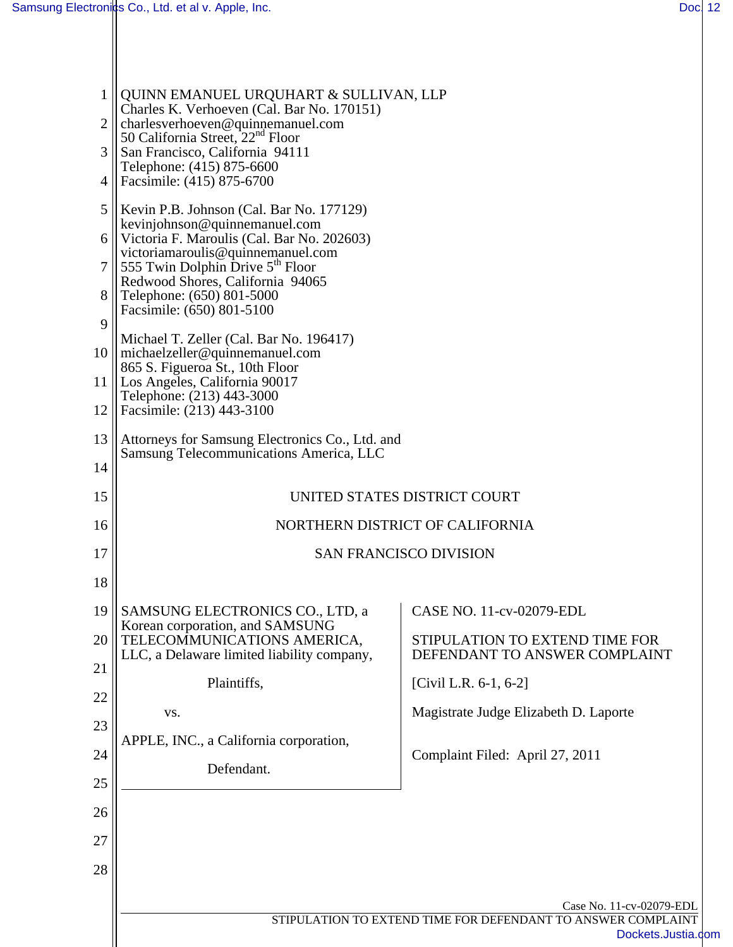|    | QUINN EMANUEL URQUHART & SULLIVAN, LLP<br>Charles K. Verhoeven (Cal. Bar No. 170151)                         |                                                                 |  |  |
|----|--------------------------------------------------------------------------------------------------------------|-----------------------------------------------------------------|--|--|
| 2  | charlesverhoeven@quinnemanuel.com<br>50 California Street, $22nd$ Floor                                      |                                                                 |  |  |
| 3  | San Francisco, California 94111<br>Telephone: (415) 875-6600                                                 |                                                                 |  |  |
| 4  | Facsimile: (415) 875-6700                                                                                    |                                                                 |  |  |
| 5  | Kevin P.B. Johnson (Cal. Bar No. 177129)<br>kevinjohnson@quinnemanuel.com                                    |                                                                 |  |  |
| 6  | Victoria F. Maroulis (Cal. Bar No. 202603)                                                                   |                                                                 |  |  |
| 7  | victoriamaroulis@quinnemanuel.com<br>$\parallel$ 555 Twin Dolphin Drive 5 <sup>th</sup> Floor                |                                                                 |  |  |
| 8  | Redwood Shores, California 94065<br>Telephone: (650) 801-5000                                                |                                                                 |  |  |
| 9  | Facsimile: (650) 801-5100                                                                                    |                                                                 |  |  |
|    | Michael T. Zeller (Cal. Bar No. 196417)<br>10    michaelzeller@quinnemanuel.com                              |                                                                 |  |  |
|    | 865 S. Figueroa St., 10th Floor<br>11   Los Angeles, California 90017                                        |                                                                 |  |  |
| 12 | Telephone: (213) 443-3000<br>Facsimile: (213) 443-3100                                                       |                                                                 |  |  |
| 13 | Attorneys for Samsung Electronics Co., Ltd. and                                                              |                                                                 |  |  |
| 14 | Samsung Telecommunications America, LLC                                                                      |                                                                 |  |  |
| 15 |                                                                                                              | UNITED STATES DISTRICT COURT                                    |  |  |
| 16 | NORTHERN DISTRICT OF CALIFORNIA                                                                              |                                                                 |  |  |
| 17 |                                                                                                              | <b>SAN FRANCISCO DIVISION</b>                                   |  |  |
| 18 |                                                                                                              |                                                                 |  |  |
| 19 | SAMSUNG ELECTRONICS CO., LTD, a                                                                              | CASE NO. 11-cv-02079-EDL                                        |  |  |
| 20 | Korean corporation, and SAMSUNG<br>TELECOMMUNICATIONS AMERICA,<br>LLC, a Delaware limited liability company, | STIPULATION TO EXTEND TIME FOR<br>DEFENDANT TO ANSWER COMPLAINT |  |  |
| 21 | Plaintiffs,                                                                                                  | [Civil L.R. $6-1$ , $6-2$ ]                                     |  |  |
| 22 | VS.                                                                                                          | Magistrate Judge Elizabeth D. Laporte                           |  |  |
| 23 | APPLE, INC., a California corporation,                                                                       |                                                                 |  |  |
| 24 | Defendant.                                                                                                   | Complaint Filed: April 27, 2011                                 |  |  |
| 25 |                                                                                                              |                                                                 |  |  |
| 26 |                                                                                                              |                                                                 |  |  |
| 27 |                                                                                                              |                                                                 |  |  |
| 28 |                                                                                                              |                                                                 |  |  |
|    |                                                                                                              | Case No. 11-cv-02079-EDL                                        |  |  |
|    | STIPULATION TO EXTEND TIME FOR DEFENDANT TO ANSWER COMPLAINT<br>Dockets.Justia.cor                           |                                                                 |  |  |
|    |                                                                                                              |                                                                 |  |  |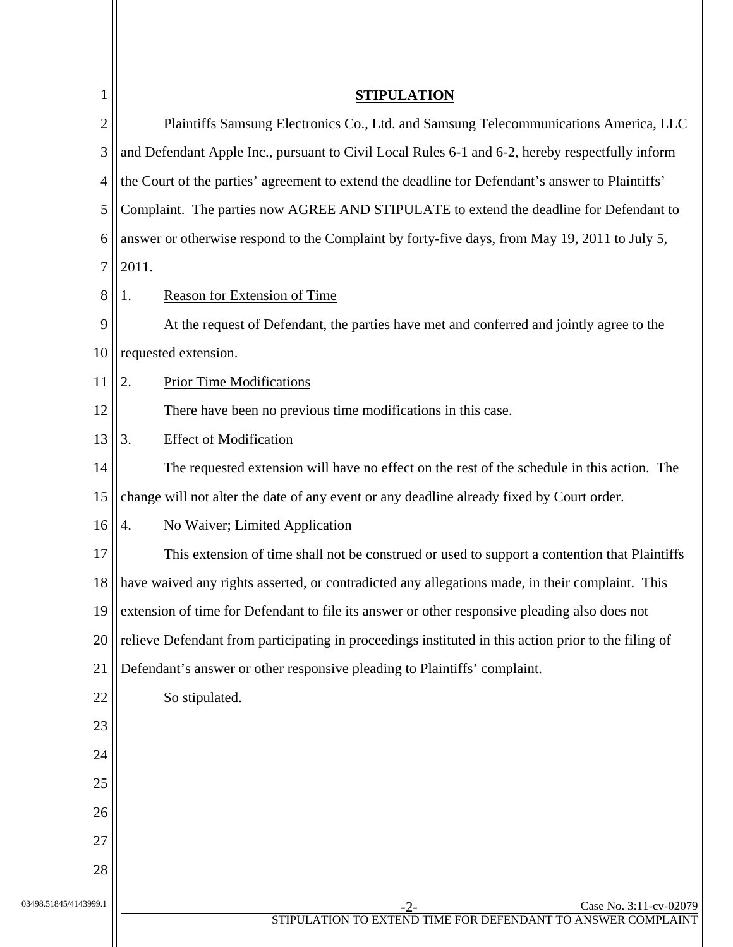| 1                     | <b>STIPULATION</b>                                                                                   |
|-----------------------|------------------------------------------------------------------------------------------------------|
| $\overline{2}$        | Plaintiffs Samsung Electronics Co., Ltd. and Samsung Telecommunications America, LLC                 |
| 3                     | and Defendant Apple Inc., pursuant to Civil Local Rules 6-1 and 6-2, hereby respectfully inform      |
| 4                     | the Court of the parties' agreement to extend the deadline for Defendant's answer to Plaintiffs'     |
| 5                     | Complaint. The parties now AGREE AND STIPULATE to extend the deadline for Defendant to               |
| 6                     | answer or otherwise respond to the Complaint by forty-five days, from May 19, 2011 to July 5,        |
| 7                     | 2011.                                                                                                |
| 8                     | Reason for Extension of Time<br>1.                                                                   |
| 9                     | At the request of Defendant, the parties have met and conferred and jointly agree to the             |
| 10                    | requested extension.                                                                                 |
| 11                    | <b>Prior Time Modifications</b><br>2.                                                                |
| 12                    | There have been no previous time modifications in this case.                                         |
| 13                    | <b>Effect of Modification</b><br>3.                                                                  |
| 14                    | The requested extension will have no effect on the rest of the schedule in this action. The          |
| 15                    | change will not alter the date of any event or any deadline already fixed by Court order.            |
| 16                    | <b>No Waiver</b> ; Limited Application<br>4.                                                         |
| 17                    | This extension of time shall not be construed or used to support a contention that Plaintiffs        |
| 18                    | have waived any rights asserted, or contradicted any allegations made, in their complaint. This      |
| 19                    | extension of time for Defendant to file its answer or other responsive pleading also does not        |
| 20                    | relieve Defendant from participating in proceedings instituted in this action prior to the filing of |
| 21                    | Defendant's answer or other responsive pleading to Plaintiffs' complaint.                            |
| 22                    | So stipulated.                                                                                       |
| 23                    |                                                                                                      |
| 24                    |                                                                                                      |
| 25                    |                                                                                                      |
| 26                    |                                                                                                      |
| 27                    |                                                                                                      |
| 28                    |                                                                                                      |
| 03498.51845/4143999.1 | Case No. 3:11-cv-02079<br>$-2-$                                                                      |
|                       | STIPULATION TO EXTEND TIME FOR DEFENDANT TO ANSWER COMPLAINT                                         |